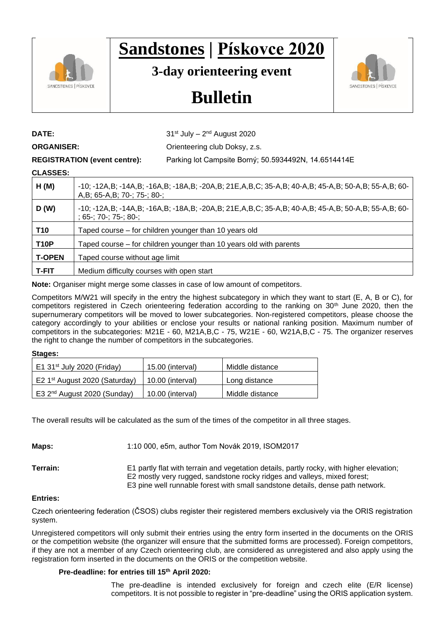

# **Sandstones | Pískovce 2020**

**3-day orienteering event**



# **Bulletin**

**DATE:** 31<sup>st</sup> July – 2<sup>nd</sup> August 2020

## **ORGANISER:** Orienteering club Doksy, z.s.

**REGISTRATION (event centre):** Parking lot Campsite Borný; 50.5934492N, 14.6514414E

# **CLASSES:**

| vinuviu.      |                                                                                                                                    |
|---------------|------------------------------------------------------------------------------------------------------------------------------------|
| H(M)          | -10; -12A,B; -14A,B; -16A,B; -18A,B; -20A,B; 21E,A,B,C; 35-A,B; 40-A,B; 45-A,B; 50-A,B; 55-A,B; 60-<br>A,B; 65-A,B; 70-; 75-; 80-; |
| D(W)          | -10; -12A,B; -14A,B; -16A,B; -18A,B; -20A,B; 21E,A,B,C; 35-A,B; 40-A,B; 45-A,B; 50-A,B; 55-A,B; 60-<br>: 65-: 70-: 75-: 80-:       |
| <b>T10</b>    | Taped course – for children younger than 10 years old                                                                              |
| <b>T10P</b>   | Taped course – for children younger than 10 years old with parents                                                                 |
| <b>T-OPEN</b> | Taped course without age limit                                                                                                     |
| <b>T-FIT</b>  | Medium difficulty courses with open start                                                                                          |

**Note:** Organiser might merge some classes in case of low amount of competitors.

Competitors M/W21 will specify in the entry the highest subcategory in which they want to start (E, A, B or C), for competitors registered in Czech orienteering federation according to the ranking on 30<sup>th</sup> June 2020, then the supernumerary competitors will be moved to lower subcategories. Non-registered competitors, please choose the category accordingly to your abilities or enclose your results or national ranking position. Maximum number of competitors in the subcategories: M21E - 60, M21A,B,C - 75, W21E - 60, W21A,B,C - 75. The organizer reserves the right to change the number of competitors in the subcategories.

### **Stages:**

| E1 31 <sup>st</sup> July 2020 (Friday)    | 15.00 (interval) | Middle distance |
|-------------------------------------------|------------------|-----------------|
| E2 1 <sup>st</sup> August 2020 (Saturday) | 10.00 (interval) | Long distance   |
| E3 2 <sup>nd</sup> August 2020 (Sunday)   | 10.00 (interval) | Middle distance |

The overall results will be calculated as the sum of the times of the competitor in all three stages.

**Maps:** 1:10 000, e5m, author Tom Novák 2019, ISOM2017

**Terrain:** E1 partly flat with terrain and vegetation details, partly rocky, with higher elevation; E2 mostly very rugged, sandstone rocky ridges and valleys, mixed forest; E3 pine well runnable forest with small sandstone details, dense path network.

### **Entries:**

Czech orienteering federation (ČSOS) clubs register their registered members exclusively via the ORIS registration system.

Unregistered competitors will only submit their entries using the entry form inserted in the documents on the ORIS or the competition website (the organizer will ensure that the submitted forms are processed). Foreign competitors, if they are not a member of any Czech orienteering club, are considered as unregistered and also apply using the registration form inserted in the documents on the ORIS or the competition website.

### **Pre-deadline: for entries till 15th April 2020:**

The pre-deadline is intended exclusively for foreign and czech elite (E/R license) competitors. It is not possible to register in "pre-deadline" using the ORIS application system.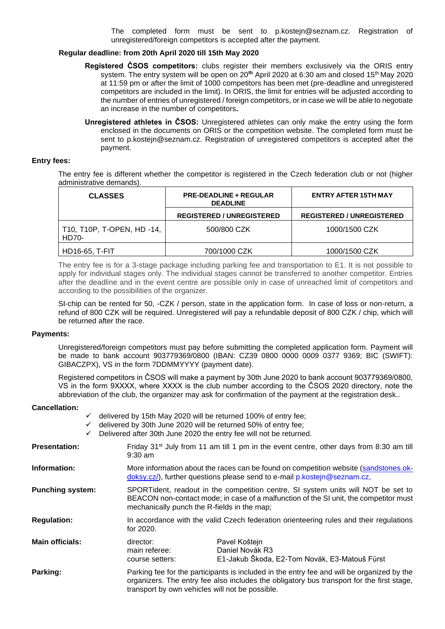The completed form must be sent to p.kostejn@seznam.cz. Registration of unregistered/foreign competitors is accepted after the payment.

#### **Regular deadline: from 20th April 2020 till 15th May 2020**

- **Registered ČSOS competitors:** clubs register their members exclusively via the ORIS entry system. The entry system will be open on 20<sup>th</sup> April 2020 at 6:30 am and closed 15<sup>th</sup> May 2020 at 11:59 pm or after the limit of 1000 competitors has been met (pre-deadline and unregistered competitors are included in the limit). In ORIS, the limit for entries will be adjusted according to the number of entries of unregistered / foreign competitors, or in case we will be able to negotiate an increase in the number of competitors**.**
- **Unregistered athletes in ČSOS:** Unregistered athletes can only make the entry using the form enclosed in the documents on ORIS or the competition website. The completed form must be sent to p.kostejn@seznam.cz. Registration of unregistered competitors is accepted after the payment.

#### **Entry fees:**

The entry fee is different whether the competitor is registered in the Czech federation club or not (higher administrative demands).

| <b>CLASSES</b>                      | <b>PRE-DEADLINE + REGULAR</b><br><b>DEADLINE</b> | <b>ENTRY AFTER 15TH MAY</b>      |  |
|-------------------------------------|--------------------------------------------------|----------------------------------|--|
|                                     | <b>REGISTERED / UNREGISTERED</b>                 | <b>REGISTERED / UNREGISTERED</b> |  |
| T10, T10P, T-OPEN, HD -14,<br>HD70- | 500/800 CZK                                      | 1000/1500 CZK                    |  |
| <b>HD16-65, T-FIT</b>               | 700/1000 CZK                                     | 1000/1500 CZK                    |  |

The entry fee is for a 3-stage package including parking fee and transportation to E1. It is not possible to apply for individual stages only. The individual stages cannot be transferred to another competitor. Entries after the deadline and in the event centre are possible only in case of unreached limit of competitors and according to the possibilities of the organizer.

SI-chip can be rented for 50, -CZK / person, state in the application form. In case of loss or non-return, a refund of 800 CZK will be required. Unregistered will pay a refundable deposit of 800 CZK / chip, which will be returned after the race.

#### **Payments:**

Unregistered/foreign competitors must pay before submitting the completed application form. Payment will be made to bank account 903779369/0800 (IBAN: CZ39 0800 0000 0009 0377 9369; BIC (SWIFT): GIBACZPX), VS in the form 7DDMMYYYY (payment date).

Registered competitors in ČSOS will make a payment by 30th June 2020 to bank account 903779369/0800, VS in the form 9XXXX, where XXXX is the club number according to the ČSOS 2020 directory, note the abbreviation of the club, the organizer may ask for confirmation of the payment at the registration desk..

#### **Cancellation:**

|                         | $\checkmark$<br>✓ | delivered by 15th May 2020 will be returned 100% of entry fee;<br>delivered by 30th June 2020 will be returned 50% of entry fee; | Delivered after 30th June 2020 the entry fee will not be returned.                                                                                                                                                        |  |  |
|-------------------------|-------------------|----------------------------------------------------------------------------------------------------------------------------------|---------------------------------------------------------------------------------------------------------------------------------------------------------------------------------------------------------------------------|--|--|
| <b>Presentation:</b>    |                   | $9:30$ am                                                                                                                        | Friday $31st$ July from 11 am till 1 pm in the event centre, other days from 8:30 am till                                                                                                                                 |  |  |
| Information:            |                   |                                                                                                                                  | More information about the races can be found on competition website (sandstones.ok-<br>doksy.cz/), further questions please send to e-mail p.kostejn@seznam.cz,                                                          |  |  |
| <b>Punching system:</b> |                   |                                                                                                                                  | SPORTident, readout in the competition centre, SI system units will NOT be set to<br>BEACON non-contact mode; in case of a malfunction of the SI unit, the competitor must<br>mechanically punch the R-fields in the map; |  |  |
| <b>Regulation:</b>      |                   | for 2020.                                                                                                                        | In accordance with the valid Czech federation orienteering rules and their regulations                                                                                                                                    |  |  |
| <b>Main officials:</b>  |                   | director:<br>main referee:<br>course setters:                                                                                    | Pavel Koštejn<br>Daniel Novák R3<br>E1-Jakub Škoda, E2-Tom Novák, E3-Matouš Fürst                                                                                                                                         |  |  |
| Parking:                |                   | transport by own vehicles will not be possible.                                                                                  | Parking fee for the participants is included in the entry fee and will be organized by the<br>organizers. The entry fee also includes the obligatory bus transport for the first stage,                                   |  |  |